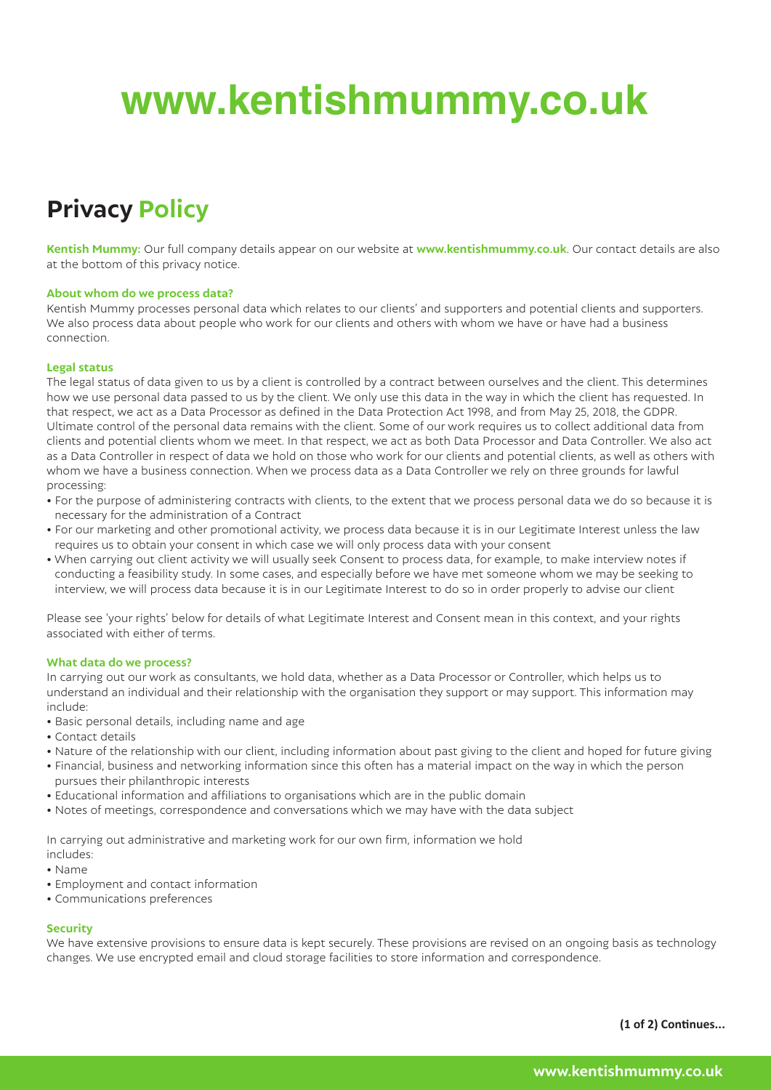# **www.kentishmummy.co.uk**

## **Privacy Policy**

**Kentish Mummy:** Our full company details appear on our website at **www.kentishmummy.co.uk**. Our contact details are also at the bottom of this privacy notice.

### **About whom do we process data?**

Kentish Mummy processes personal data which relates to our clients' and supporters and potential clients and supporters. We also process data about people who work for our clients and others with whom we have or have had a business connection.

### **Legal status**

The legal status of data given to us by a client is controlled by a contract between ourselves and the client. This determines how we use personal data passed to us by the client. We only use this data in the way in which the client has requested. In that respect, we act as a Data Processor as defined in the Data Protection Act 1998, and from May 25, 2018, the GDPR. Ultimate control of the personal data remains with the client. Some of our work requires us to collect additional data from clients and potential clients whom we meet. In that respect, we act as both Data Processor and Data Controller. We also act as a Data Controller in respect of data we hold on those who work for our clients and potential clients, as well as others with whom we have a business connection. When we process data as a Data Controller we rely on three grounds for lawful processing:

- For the purpose of administering contracts with clients, to the extent that we process personal data we do so because it is necessary for the administration of a Contract
- For our marketing and other promotional activity, we process data because it is in our Legitimate Interest unless the law requires us to obtain your consent in which case we will only process data with your consent
- When carrying out client activity we will usually seek Consent to process data, for example, to make interview notes if conducting a feasibility study. In some cases, and especially before we have met someone whom we may be seeking to interview, we will process data because it is in our Legitimate Interest to do so in order properly to advise our client

Please see 'your rights' below for details of what Legitimate Interest and Consent mean in this context, and your rights associated with either of terms.

### **What data do we process?**

In carrying out our work as consultants, we hold data, whether as a Data Processor or Controller, which helps us to understand an individual and their relationship with the organisation they support or may support. This information may include:

- Basic personal details, including name and age
- Contact details
- Nature of the relationship with our client, including information about past giving to the client and hoped for future giving
- Financial, business and networking information since this often has a material impact on the way in which the person pursues their philanthropic interests
- Educational information and affiliations to organisations which are in the public domain
- Notes of meetings, correspondence and conversations which we may have with the data subject

In carrying out administrative and marketing work for our own firm, information we hold includes:

- Name
- Employment and contact information
- Communications preferences

### **Security**

We have extensive provisions to ensure data is kept securely. These provisions are revised on an ongoing basis as technology changes. We use encrypted email and cloud storage facilities to store information and correspondence.

**(1 of 2) Continues...**